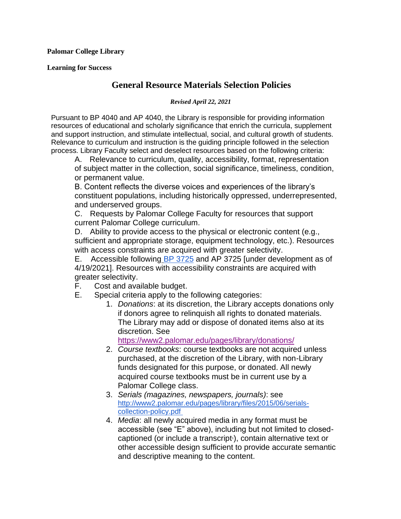**Palomar College Library**

**Learning for Success**

## **General Resource Materials Selection Policies**

## *Revised April 22, 2021*

Pursuant to BP 4040 and AP 4040, the Library is responsible for providing information resources of educational and scholarly significance that enrich the curricula, supplement and support instruction, and stimulate intellectual, social, and cultural growth of students. Relevance to curriculum and instruction is the guiding principle followed in the selection process. Library Faculty select and deselect resources based on the following criteria:

A. Relevance to curriculum, quality, accessibility, format, representation of subject matter in the collection, social significance, timeliness, condition, or permanent value.

B. Content reflects the diverse voices and experiences of the library's constituent populations, including historically oppressed, underrepresented, and underserved groups.

C. Requests by Palomar College Faculty for resources that support current Palomar College curriculum.

D. Ability to provide access to the physical or electronic content (e.g., sufficient and appropriate storage, equipment technology, etc.). Resources with access constraints are acquired with greater selectivity.

E. Accessible following [BP 3725](https://www2.palomar.edu/pages/governingboard/files/2021/01/BP-3725-Information-Communications-Technology-Accessibility-Acceptable-Use-Adopted-4-14-2020.pdf) and AP 3725 [under development as of 4/19/2021]. Resources with accessibility constraints are acquired with greater selectivity.

- F. Cost and available budget.
- E. Special criteria apply to the following categories:
	- 1. *Donations*: at its discretion, the Library accepts donations only if donors agree to relinquish all rights to donated materials. The Library m[ay add or dispose of donated items also at its](https://www2.palomar.edu/pages/library/donations/)  discretion. See

<https://www2.palomar.edu/pages/library/donations/>

- 2. *Course textbooks*: course textbooks are not acquired unless purchased, at the discretion of the Library, with non-Library funds designated for this purpose, or donated. All newly acquired course textbooks must be in current use by a Palomar College class.
- 3. *Serials (magazines, newspapers, journals)*: see [http://www2.palomar.edu/pages/library/files/2015/06/serials](http://www2.palomar.edu/pages/library/files/2015/06/serials-collection-policy.pdf)[collection-policy.pdf](http://www2.palomar.edu/pages/library/files/2015/06/serials-collection-policy.pdf)
- 4. *Media*: all newly acquired media in any format must be accessible (see "E" above), including but not limited to closedcaptioned (or include a transcript <sup>1</sup>), contain alternative text or other accessible design sufficient to provide accurate semantic and descriptive meaning to the content.